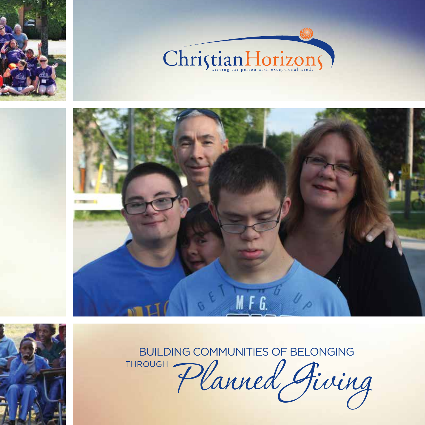







BUILDING COMMUNITIES OF BELONGING

THROUGH Planned Fiving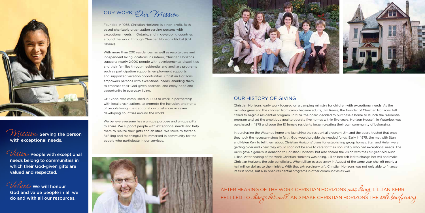Founded in 1965, Christian Horizons is a non-profit, faithbased charitable organization serving persons with exceptional needs in Ontario, and in developing countries around the world through Christian Horizons Global (CH Global).

With more than 200 residences, as well as respite care and independent living locations in Ontario, Christian Horizons supports nearly 2,000 people with developmental disabilities and their families through residential and ancillary programs such as participation supports, employment supports, and supported vacation opportunities. Christian Horizons empowers persons with exceptional needs, enabling them to embrace their God-given potential and enjoy hope and opportunity in everyday living.

We believe everyone has a unique purpose and unique gifts to share. We support people with exceptional needs and help them to realize their gifts and abilities. We strive to foster a fulfilling and meaningful life immersed in community for the metric of the Mission of the Mission of the Mission of the Mission of the Mission of the Mission of the Mission of the Mission of the Mission of the Mission of t people who participate in our services.





 $\mathcal{O}_{\mathcal{U}\mathcal{S}\mathcal{U}\mathcal{H}}$ : People with exceptional needs belong to communities in which their God-given gifts are valued and respected.

Values: We will honour God and value people in all we do and with all our resources.

OUR WORK, Our Mission

CH Global was established in 1990 to work in partnership with local organizations to promote the inclusion and rights of people living in exceptional circumstances in seven developing countries around the world.



Serving the person with exceptional needs.

In purchasing the Waterloo home and launching the residential program, Jim and the board trusted that once they took the necessary steps in faith, God would provide the needed funds. Early in 1975, Jim met with Stan and Helen Kerr to tell them about Christian Horizons' plans for establishing group homes. Stan and Helen were getting older and knew they would soon not be able to care for their son Philip, who had exceptional needs. The Kerrs gave a generous donation to Christian Horizons, but also shared the vision with their 92-year-old Aunt Lillian. After hearing of the work Christian Horizons was doing, Lillian Kerr felt led to change her will and make Christian Horizons the sole beneficiary. When Lillian passed away in August of the same year, she left nearly a half million dollars to the ministry. With that extraordinary gift, Christian Horizons was not only able to finance its first home, but also open residential programs in other communities as well.

AFTER HEARING OF THE WORK CHRISTIAN HORIZONS was doing, LILLIAN KERR FELT LED TO *change her will* and make CHRISTIAN HORIZONS THE sole beneficiary.

#### OUR HISTORY OF GIVING



Christian Horizons' early work focused on a camping ministry for children with exceptional needs. As the ministry grew and the children from camp became adults, Jim Reese, the founder of Christian Horizons, felt called to begin a residential program. In 1974, the board decided to purchase a home to launch the residential program and set the ambitious goal to operate five homes within five years. Horizon House 1, in Waterloo, was purchased in 1975 and soon the 10 female residents began creating their own community of belonging.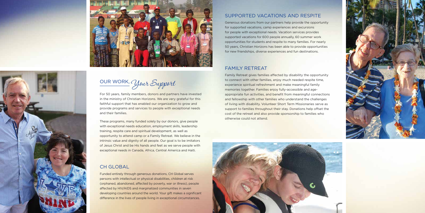

OUR WORK, Your Support

For 50 years, family members, donors and partners have invested in the ministry of Christian Horizons. We are very grateful for this faithful support that has enabled our organization to grow and provide programs and services to people with exceptional needs and their families.

These programs, many funded solely by our donors, give people with exceptional needs education, employment skills, leadership training, respite care and spiritual development, as well as opportunity to attend camp or a Family Retreat. We believe in the intrinsic value and dignity of all people. Our goal is to be imitators of Jesus Christ and be His hands and feet as we serve people with exceptional needs in Canada, Africa, Central America and Haiti.

#### CH GLOBAL

Funded entirely through generous donations, CH Global serves persons with intellectual or physical disabilities, children at risk (orphaned, abandoned, affected by poverty, war or illness), people affected by HIV/AIDS and marginalized communities in seven developing countries around the world. Your gift makes a significant difference in the lives of people living in exceptional circumstances.

#### SUPPORTED VACATIONS AND RESPITE

Generous donations from our partners help provide the opportunity for supported vacations, camp experiences and excursions for people with exceptional needs. Vacation services provides supported vacations for 600 people annually, 60 summer work opportunities for students and respite to many families. For nearly 50 years, Christian Horizons has been able to provide opportunities for new friendships, diverse experiences and fun destinations.

#### FAMILY RETREAT

Family Retreat gives families affected by disability the opportunity to connect with other families, enjoy much needed respite time, experience spiritual refreshment and make meaningful family memories together. Families enjoy fully-accessible and ageappropriate fun activities, and benefit from meaningful connections and fellowship with other families who understand the challenges of living with disability. Volunteer Short Term Missionaries serve as support to families throughout their stay. Donations help offset the cost of the retreat and also provide sponsorship to families who otherwise could not attend.





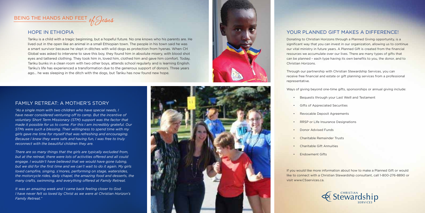#### FAMILY RETREAT: A MOTHER'S STORY

*"As a single mom with two children who have special needs, I have never considered venturing off to camp. But the incentive of voluntary Short Term Missionary (STM) support was the factor that made it possible for us to come. For this I am incredibly grateful. Our STMs were such a blessing. Their willingness to spend time with my girls gave me time for myself that was refreshing and encouraging. Because I knew they were safe and having fun, I was free to truly reconnect with the beautiful children they are.*

*There are so many things that the girls are typically excluded from, but at the retreat, there were lots of activities offered and all could engage. I wouldn't have believed that we would have gone tubing, but we did for the first time and we can't wait to do it again. My girls loved campfire, singing, s'mores, performing on stage, waterslides, the motorcycle rides, daily chapel, the amazing food and desserts, the many crafts, swimming, and everything offered at Family Retreat.* 

- 
- Gifts of Appreciated Securities
- **Revocable Deposit Agreements**
- **RRSP** or Life Insurance Designations
- Donor Advised Funds
- Charitable Remainder Trusts
- Charitable Gift Annuities
- **Endowment Gifts**

*It was an amazing week and I came back feeling closer to God. I have never felt so loved by Christ as we were at Christian Horizon's Family Retreat."*



#### YOUR PLANNED GIFT MAKES A DIFFERENCE!

Donating to Christian Horizons through a Planned Giving opportunity, is a significant way that you can invest in our organization, allowing us to continue our vital ministry in future years. A Planned Gift is created from the financial resources we accumulate over our lives. There are many types of gifts that can be planned – each type having its own benefits to you, the donor, and to Christian Horizons.

Through our partnership with Christian Stewardship Services, you can receive free financial and estate or gift planning services from a professional representative.

Ways of giving beyond one-time gifts, sponsorships or annual giving include:

• Bequests through your Last Weill and Testament

# Stewardship

If you would like more information about how to make a Planned Gift or would like to connect with a Christian Stewardship consultant, call 1-800-276-8890 or visit www.CSservices.ca.



## BEING THE HANDS AND FEET of Jesus

#### HOPE IN ETHIOPIA

Tariku is a child with a tragic beginning, but a hopeful future. No one knows who his parents are. He lived out in the open like an animal in a small Ethiopian town. The people in his town said he was a smart survivor because he slept in ditches with wild dogs as protection from hyenas. When CH Global was asked to intervene to save this boy, they found him in absolute misery, with blood shot eyes and tattered clothing. They took him in, loved him, clothed him and gave him comfort. Today, Tariku bunks in a clean room with two other boys, attends school regularly and is learning English. Tariku's life has experienced a transformation due to the generous support of donors. Three years ago... he was sleeping in the ditch with the dogs, but Tariku has now found new hope.